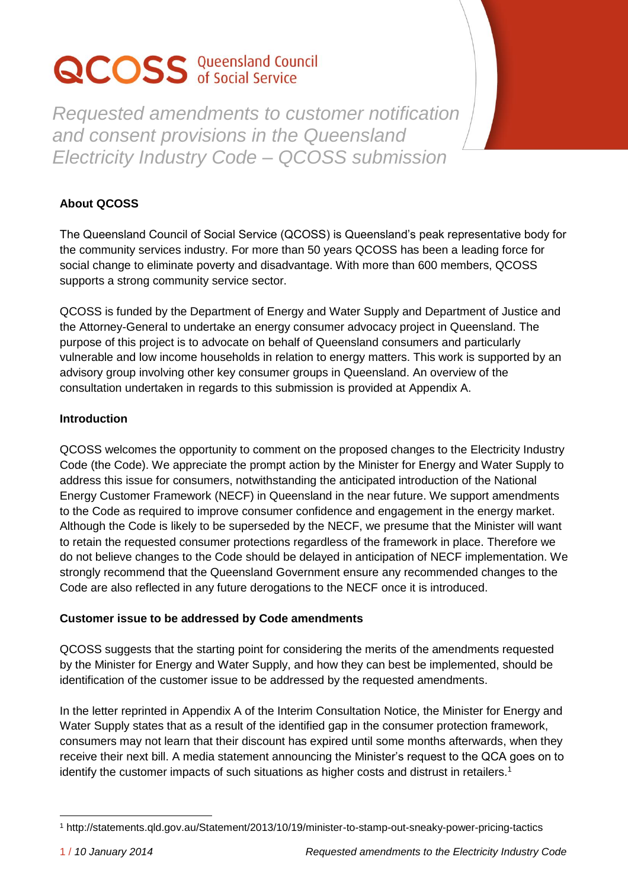# **QCOSS** Queensland Council

*Requested amendments to customer notification and consent provisions in the Queensland Electricity Industry Code – QCOSS submission*

## **About QCOSS**

The Queensland Council of Social Service (QCOSS) is Queensland's peak representative body for the community services industry. For more than 50 years QCOSS has been a leading force for social change to eliminate poverty and disadvantage. With more than 600 members, QCOSS supports a strong community service sector.

QCOSS is funded by the Department of Energy and Water Supply and Department of Justice and the Attorney-General to undertake an energy consumer advocacy project in Queensland. The purpose of this project is to advocate on behalf of Queensland consumers and particularly vulnerable and low income households in relation to energy matters. This work is supported by an advisory group involving other key consumer groups in Queensland. An overview of the consultation undertaken in regards to this submission is provided at Appendix A.

## **Introduction**

QCOSS welcomes the opportunity to comment on the proposed changes to the Electricity Industry Code (the Code). We appreciate the prompt action by the Minister for Energy and Water Supply to address this issue for consumers, notwithstanding the anticipated introduction of the National Energy Customer Framework (NECF) in Queensland in the near future. We support amendments to the Code as required to improve consumer confidence and engagement in the energy market. Although the Code is likely to be superseded by the NECF, we presume that the Minister will want to retain the requested consumer protections regardless of the framework in place. Therefore we do not believe changes to the Code should be delayed in anticipation of NECF implementation. We strongly recommend that the Queensland Government ensure any recommended changes to the Code are also reflected in any future derogations to the NECF once it is introduced.

## **Customer issue to be addressed by Code amendments**

QCOSS suggests that the starting point for considering the merits of the amendments requested by the Minister for Energy and Water Supply, and how they can best be implemented, should be identification of the customer issue to be addressed by the requested amendments.

In the letter reprinted in Appendix A of the Interim Consultation Notice, the Minister for Energy and Water Supply states that as a result of the identified gap in the consumer protection framework, consumers may not learn that their discount has expired until some months afterwards, when they receive their next bill. A media statement announcing the Minister's request to the QCA goes on to identify the customer impacts of such situations as higher costs and distrust in retailers.<sup>1</sup>

 $\overline{a}$ <sup>1</sup> http://statements.qld.gov.au/Statement/2013/10/19/minister-to-stamp-out-sneaky-power-pricing-tactics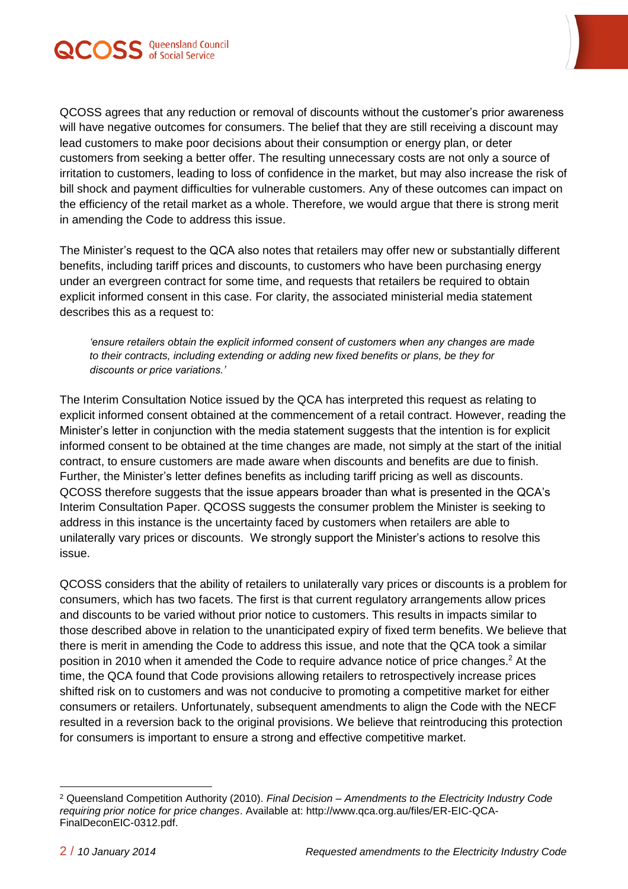

QCOSS agrees that any reduction or removal of discounts without the customer's prior awareness will have negative outcomes for consumers. The belief that they are still receiving a discount may lead customers to make poor decisions about their consumption or energy plan, or deter customers from seeking a better offer. The resulting unnecessary costs are not only a source of irritation to customers, leading to loss of confidence in the market, but may also increase the risk of bill shock and payment difficulties for vulnerable customers. Any of these outcomes can impact on the efficiency of the retail market as a whole. Therefore, we would argue that there is strong merit in amending the Code to address this issue.

The Minister's request to the QCA also notes that retailers may offer new or substantially different benefits, including tariff prices and discounts, to customers who have been purchasing energy under an evergreen contract for some time, and requests that retailers be required to obtain explicit informed consent in this case. For clarity, the associated ministerial media statement describes this as a request to:

*'ensure retailers obtain the explicit informed consent of customers when any changes are made to their contracts, including extending or adding new fixed benefits or plans, be they for discounts or price variations.'* 

The Interim Consultation Notice issued by the QCA has interpreted this request as relating to explicit informed consent obtained at the commencement of a retail contract. However, reading the Minister's letter in conjunction with the media statement suggests that the intention is for explicit informed consent to be obtained at the time changes are made, not simply at the start of the initial contract, to ensure customers are made aware when discounts and benefits are due to finish. Further, the Minister's letter defines benefits as including tariff pricing as well as discounts. QCOSS therefore suggests that the issue appears broader than what is presented in the QCA's Interim Consultation Paper. QCOSS suggests the consumer problem the Minister is seeking to address in this instance is the uncertainty faced by customers when retailers are able to unilaterally vary prices or discounts. We strongly support the Minister's actions to resolve this issue.

QCOSS considers that the ability of retailers to unilaterally vary prices or discounts is a problem for consumers, which has two facets. The first is that current regulatory arrangements allow prices and discounts to be varied without prior notice to customers. This results in impacts similar to those described above in relation to the unanticipated expiry of fixed term benefits. We believe that there is merit in amending the Code to address this issue, and note that the QCA took a similar position in 2010 when it amended the Code to require advance notice of price changes. <sup>2</sup> At the time, the QCA found that Code provisions allowing retailers to retrospectively increase prices shifted risk on to customers and was not conducive to promoting a competitive market for either consumers or retailers. Unfortunately, subsequent amendments to align the Code with the NECF resulted in a reversion back to the original provisions. We believe that reintroducing this protection for consumers is important to ensure a strong and effective competitive market.

 $\overline{a}$ 

<sup>2</sup> Queensland Competition Authority (2010). *Final Decision – Amendments to the Electricity Industry Code requiring prior notice for price changes*. Available at: http://www.qca.org.au/files/ER-EIC-QCA-FinalDeconEIC-0312.pdf.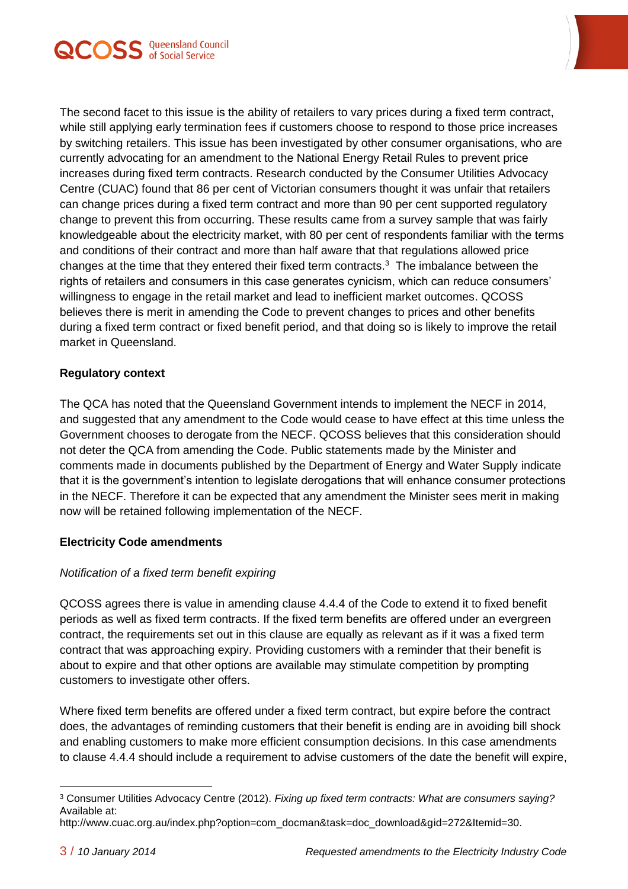



The second facet to this issue is the ability of retailers to vary prices during a fixed term contract, while still applying early termination fees if customers choose to respond to those price increases by switching retailers. This issue has been investigated by other consumer organisations, who are currently advocating for an amendment to the National Energy Retail Rules to prevent price increases during fixed term contracts. Research conducted by the Consumer Utilities Advocacy Centre (CUAC) found that 86 per cent of Victorian consumers thought it was unfair that retailers can change prices during a fixed term contract and more than 90 per cent supported regulatory change to prevent this from occurring. These results came from a survey sample that was fairly knowledgeable about the electricity market, with 80 per cent of respondents familiar with the terms and conditions of their contract and more than half aware that that regulations allowed price changes at the time that they entered their fixed term contracts.<sup>3</sup> The imbalance between the rights of retailers and consumers in this case generates cynicism, which can reduce consumers' willingness to engage in the retail market and lead to inefficient market outcomes. QCOSS believes there is merit in amending the Code to prevent changes to prices and other benefits during a fixed term contract or fixed benefit period, and that doing so is likely to improve the retail market in Queensland.

#### **Regulatory context**

The QCA has noted that the Queensland Government intends to implement the NECF in 2014, and suggested that any amendment to the Code would cease to have effect at this time unless the Government chooses to derogate from the NECF. QCOSS believes that this consideration should not deter the QCA from amending the Code. Public statements made by the Minister and comments made in documents published by the Department of Energy and Water Supply indicate that it is the government's intention to legislate derogations that will enhance consumer protections in the NECF. Therefore it can be expected that any amendment the Minister sees merit in making now will be retained following implementation of the NECF.

## **Electricity Code amendments**

## *Notification of a fixed term benefit expiring*

QCOSS agrees there is value in amending clause 4.4.4 of the Code to extend it to fixed benefit periods as well as fixed term contracts. If the fixed term benefits are offered under an evergreen contract, the requirements set out in this clause are equally as relevant as if it was a fixed term contract that was approaching expiry. Providing customers with a reminder that their benefit is about to expire and that other options are available may stimulate competition by prompting customers to investigate other offers.

Where fixed term benefits are offered under a fixed term contract, but expire before the contract does, the advantages of reminding customers that their benefit is ending are in avoiding bill shock and enabling customers to make more efficient consumption decisions. In this case amendments to clause 4.4.4 should include a requirement to advise customers of the date the benefit will expire,

 $\overline{a}$ <sup>3</sup> Consumer Utilities Advocacy Centre (2012). *Fixing up fixed term contracts: What are consumers saying?* Available at:

http://www.cuac.org.au/index.php?option=com\_docman&task=doc\_download&gid=272&Itemid=30.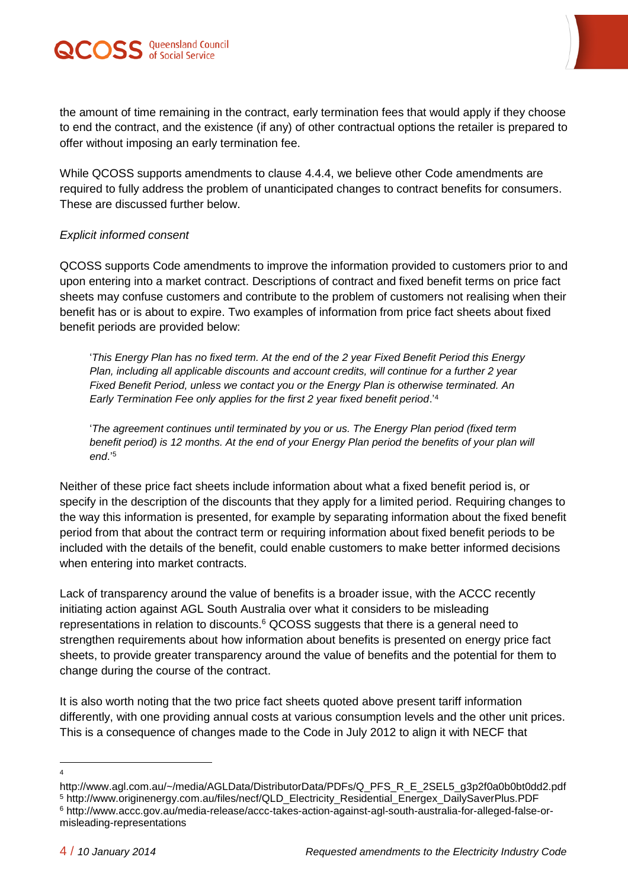

the amount of time remaining in the contract, early termination fees that would apply if they choose to end the contract, and the existence (if any) of other contractual options the retailer is prepared to offer without imposing an early termination fee.

While QCOSS supports amendments to clause 4.4.4, we believe other Code amendments are required to fully address the problem of unanticipated changes to contract benefits for consumers. These are discussed further below.

#### *Explicit informed consent*

QCOSS supports Code amendments to improve the information provided to customers prior to and upon entering into a market contract. Descriptions of contract and fixed benefit terms on price fact sheets may confuse customers and contribute to the problem of customers not realising when their benefit has or is about to expire. Two examples of information from price fact sheets about fixed benefit periods are provided below:

'*This Energy Plan has no fixed term. At the end of the 2 year Fixed Benefit Period this Energy Plan, including all applicable discounts and account credits, will continue for a further 2 year Fixed Benefit Period, unless we contact you or the Energy Plan is otherwise terminated. An Early Termination Fee only applies for the first 2 year fixed benefit period*.' 4

'*The agreement continues until terminated by you or us. The Energy Plan period (fixed term benefit period) is 12 months. At the end of your Energy Plan period the benefits of your plan will end*.' 5

Neither of these price fact sheets include information about what a fixed benefit period is, or specify in the description of the discounts that they apply for a limited period. Requiring changes to the way this information is presented, for example by separating information about the fixed benefit period from that about the contract term or requiring information about fixed benefit periods to be included with the details of the benefit, could enable customers to make better informed decisions when entering into market contracts.

Lack of transparency around the value of benefits is a broader issue, with the ACCC recently initiating action against AGL South Australia over what it considers to be misleading representations in relation to discounts.<sup>6</sup> QCOSS suggests that there is a general need to strengthen requirements about how information about benefits is presented on energy price fact sheets, to provide greater transparency around the value of benefits and the potential for them to change during the course of the contract.

It is also worth noting that the two price fact sheets quoted above present tariff information differently, with one providing annual costs at various consumption levels and the other unit prices. This is a consequence of changes made to the Code in July 2012 to align it with NECF that

 $\overline{a}$ 4

http://www.agl.com.au/~/media/AGLData/DistributorData/PDFs/Q\_PFS\_R\_E\_2SEL5\_g3p2f0a0b0bt0dd2.pdf

<sup>5</sup> http://www.originenergy.com.au/files/necf/QLD\_Electricity\_Residential\_Energex\_DailySaverPlus.PDF

<sup>6</sup> http://www.accc.gov.au/media-release/accc-takes-action-against-agl-south-australia-for-alleged-false-ormisleading-representations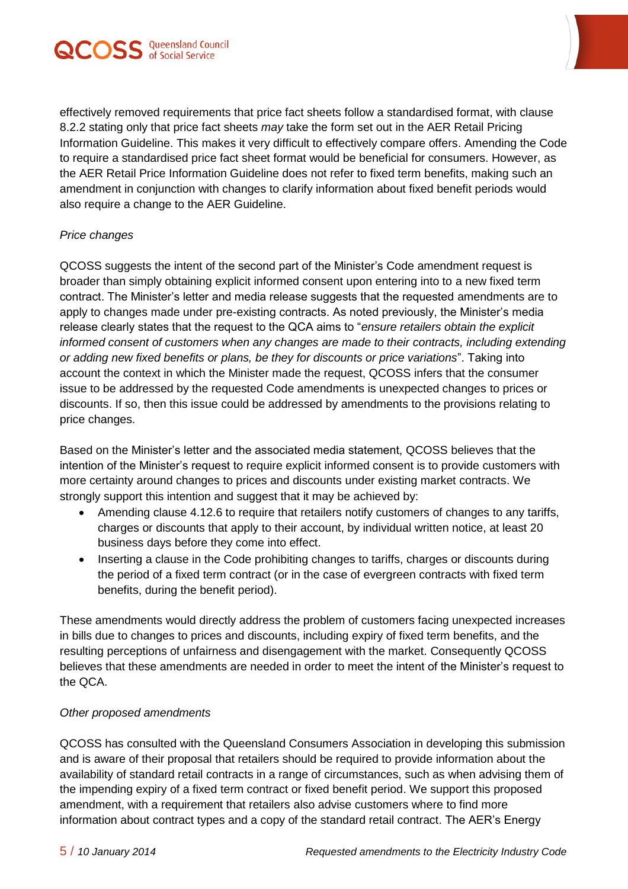

effectively removed requirements that price fact sheets follow a standardised format, with clause 8.2.2 stating only that price fact sheets *may* take the form set out in the AER Retail Pricing Information Guideline. This makes it very difficult to effectively compare offers. Amending the Code to require a standardised price fact sheet format would be beneficial for consumers. However, as the AER Retail Price Information Guideline does not refer to fixed term benefits, making such an amendment in conjunction with changes to clarify information about fixed benefit periods would also require a change to the AER Guideline.

#### *Price changes*

QCOSS suggests the intent of the second part of the Minister's Code amendment request is broader than simply obtaining explicit informed consent upon entering into to a new fixed term contract. The Minister's letter and media release suggests that the requested amendments are to apply to changes made under pre-existing contracts. As noted previously, the Minister's media release clearly states that the request to the QCA aims to "*ensure retailers obtain the explicit informed consent of customers when any changes are made to their contracts, including extending or adding new fixed benefits or plans, be they for discounts or price variations*". Taking into account the context in which the Minister made the request, QCOSS infers that the consumer issue to be addressed by the requested Code amendments is unexpected changes to prices or discounts. If so, then this issue could be addressed by amendments to the provisions relating to price changes.

Based on the Minister's letter and the associated media statement, QCOSS believes that the intention of the Minister's request to require explicit informed consent is to provide customers with more certainty around changes to prices and discounts under existing market contracts. We strongly support this intention and suggest that it may be achieved by:

- Amending clause 4.12.6 to require that retailers notify customers of changes to any tariffs, charges or discounts that apply to their account, by individual written notice, at least 20 business days before they come into effect.
- Inserting a clause in the Code prohibiting changes to tariffs, charges or discounts during the period of a fixed term contract (or in the case of evergreen contracts with fixed term benefits, during the benefit period).

These amendments would directly address the problem of customers facing unexpected increases in bills due to changes to prices and discounts, including expiry of fixed term benefits, and the resulting perceptions of unfairness and disengagement with the market. Consequently QCOSS believes that these amendments are needed in order to meet the intent of the Minister's request to the QCA.

#### *Other proposed amendments*

QCOSS has consulted with the Queensland Consumers Association in developing this submission and is aware of their proposal that retailers should be required to provide information about the availability of standard retail contracts in a range of circumstances, such as when advising them of the impending expiry of a fixed term contract or fixed benefit period. We support this proposed amendment, with a requirement that retailers also advise customers where to find more information about contract types and a copy of the standard retail contract. The AER's Energy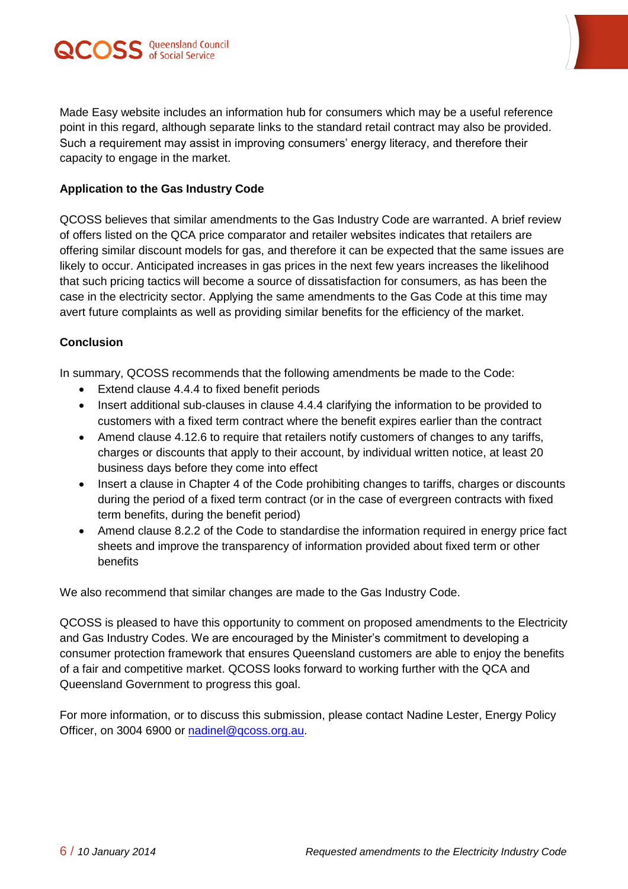



Made Easy website includes an information hub for consumers which may be a useful reference point in this regard, although separate links to the standard retail contract may also be provided. Such a requirement may assist in improving consumers' energy literacy, and therefore their capacity to engage in the market.

#### **Application to the Gas Industry Code**

QCOSS believes that similar amendments to the Gas Industry Code are warranted. A brief review of offers listed on the QCA price comparator and retailer websites indicates that retailers are offering similar discount models for gas, and therefore it can be expected that the same issues are likely to occur. Anticipated increases in gas prices in the next few years increases the likelihood that such pricing tactics will become a source of dissatisfaction for consumers, as has been the case in the electricity sector. Applying the same amendments to the Gas Code at this time may avert future complaints as well as providing similar benefits for the efficiency of the market.

#### **Conclusion**

In summary, QCOSS recommends that the following amendments be made to the Code:

- Extend clause 4.4.4 to fixed benefit periods
- Insert additional sub-clauses in clause 4.4.4 clarifying the information to be provided to customers with a fixed term contract where the benefit expires earlier than the contract
- Amend clause 4.12.6 to require that retailers notify customers of changes to any tariffs, charges or discounts that apply to their account, by individual written notice, at least 20 business days before they come into effect
- Insert a clause in Chapter 4 of the Code prohibiting changes to tariffs, charges or discounts during the period of a fixed term contract (or in the case of evergreen contracts with fixed term benefits, during the benefit period)
- Amend clause 8.2.2 of the Code to standardise the information required in energy price fact sheets and improve the transparency of information provided about fixed term or other benefits

We also recommend that similar changes are made to the Gas Industry Code.

QCOSS is pleased to have this opportunity to comment on proposed amendments to the Electricity and Gas Industry Codes. We are encouraged by the Minister's commitment to developing a consumer protection framework that ensures Queensland customers are able to enjoy the benefits of a fair and competitive market. QCOSS looks forward to working further with the QCA and Queensland Government to progress this goal.

For more information, or to discuss this submission, please contact Nadine Lester, Energy Policy Officer, on 3004 6900 or [nadinel@qcoss.org.au.](mailto:nadinel@qcoss.org.au)